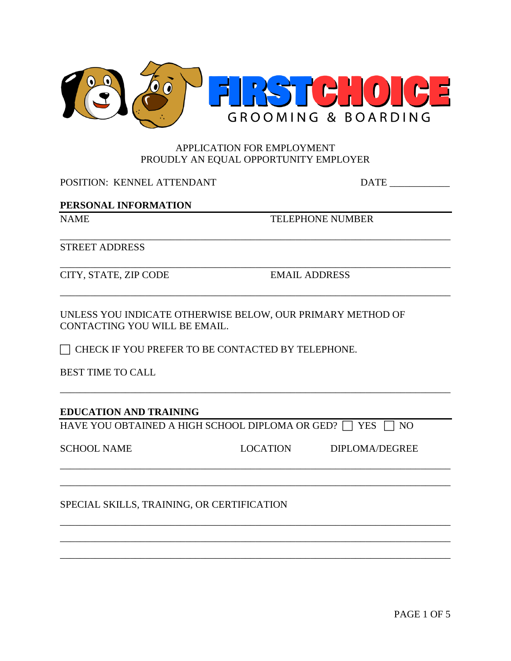

## APPLICATION FOR EMPLOYMENT PROUDLY AN EQUAL OPPORTUNITY EMPLOYER

\_\_\_\_\_\_\_\_\_\_\_\_\_\_\_\_\_\_\_\_\_\_\_\_\_\_\_\_\_\_\_\_\_\_\_\_\_\_\_\_\_\_\_\_\_\_\_\_\_\_\_\_\_\_\_\_\_\_\_\_\_\_\_\_\_\_\_\_\_\_\_\_\_\_\_\_\_\_

\_\_\_\_\_\_\_\_\_\_\_\_\_\_\_\_\_\_\_\_\_\_\_\_\_\_\_\_\_\_\_\_\_\_\_\_\_\_\_\_\_\_\_\_\_\_\_\_\_\_\_\_\_\_\_\_\_\_\_\_\_\_\_\_\_\_\_\_\_\_\_\_\_\_\_\_\_\_

\_\_\_\_\_\_\_\_\_\_\_\_\_\_\_\_\_\_\_\_\_\_\_\_\_\_\_\_\_\_\_\_\_\_\_\_\_\_\_\_\_\_\_\_\_\_\_\_\_\_\_\_\_\_\_\_\_\_\_\_\_\_\_\_\_\_\_\_\_\_\_\_\_\_\_\_\_\_

\_\_\_\_\_\_\_\_\_\_\_\_\_\_\_\_\_\_\_\_\_\_\_\_\_\_\_\_\_\_\_\_\_\_\_\_\_\_\_\_\_\_\_\_\_\_\_\_\_\_\_\_\_\_\_\_\_\_\_\_\_\_\_\_\_\_\_\_\_\_\_\_\_\_\_\_\_\_

\_\_\_\_\_\_\_\_\_\_\_\_\_\_\_\_\_\_\_\_\_\_\_\_\_\_\_\_\_\_\_\_\_\_\_\_\_\_\_\_\_\_\_\_\_\_\_\_\_\_\_\_\_\_\_\_\_\_\_\_\_\_\_\_\_\_\_\_\_\_\_\_\_\_\_\_\_\_ \_\_\_\_\_\_\_\_\_\_\_\_\_\_\_\_\_\_\_\_\_\_\_\_\_\_\_\_\_\_\_\_\_\_\_\_\_\_\_\_\_\_\_\_\_\_\_\_\_\_\_\_\_\_\_\_\_\_\_\_\_\_\_\_\_\_\_\_\_\_\_\_\_\_\_\_\_\_

\_\_\_\_\_\_\_\_\_\_\_\_\_\_\_\_\_\_\_\_\_\_\_\_\_\_\_\_\_\_\_\_\_\_\_\_\_\_\_\_\_\_\_\_\_\_\_\_\_\_\_\_\_\_\_\_\_\_\_\_\_\_\_\_\_\_\_\_\_\_\_\_\_\_\_\_\_\_ \_\_\_\_\_\_\_\_\_\_\_\_\_\_\_\_\_\_\_\_\_\_\_\_\_\_\_\_\_\_\_\_\_\_\_\_\_\_\_\_\_\_\_\_\_\_\_\_\_\_\_\_\_\_\_\_\_\_\_\_\_\_\_\_\_\_\_\_\_\_\_\_\_\_\_\_\_\_ \_\_\_\_\_\_\_\_\_\_\_\_\_\_\_\_\_\_\_\_\_\_\_\_\_\_\_\_\_\_\_\_\_\_\_\_\_\_\_\_\_\_\_\_\_\_\_\_\_\_\_\_\_\_\_\_\_\_\_\_\_\_\_\_\_\_\_\_\_\_\_\_\_\_\_\_\_\_

POSITION: KENNEL ATTENDANT DATE \_\_\_\_\_\_\_\_\_\_\_\_

# **PERSONAL INFORMATION**

NAME TELEPHONE NUMBER

STREET ADDRESS

CITY, STATE, ZIP CODE EMAIL ADDRESS

UNLESS YOU INDICATE OTHERWISE BELOW, OUR PRIMARY METHOD OF CONTACTING YOU WILL BE EMAIL.

 $\Box$  CHECK IF YOU PREFER TO BE CONTACTED BY TELEPHONE.

BEST TIME TO CALL

# **EDUCATION AND TRAINING**

HAVE YOU OBTAINED A HIGH SCHOOL DIPLOMA OR GED?  $\Box$  YES  $\Box$  NO

| <b>SCHOOL NAME</b> |  |
|--------------------|--|
|--------------------|--|

LOCATION DIPLOMA/DEGREE

SPECIAL SKILLS, TRAINING, OR CERTIFICATION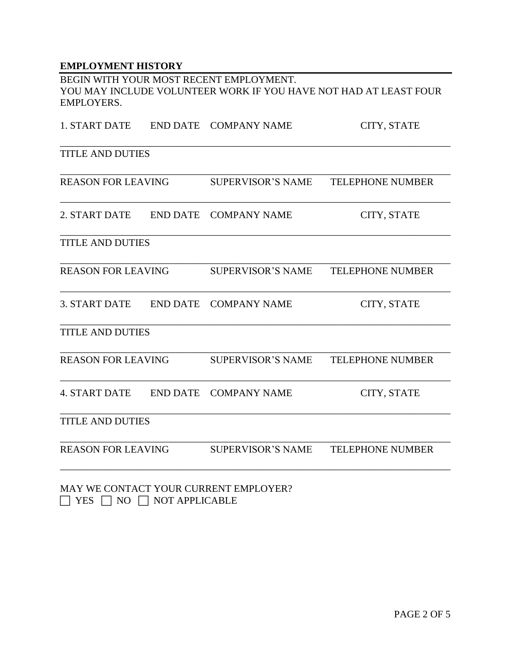## **EMPLOYMENT HISTORY**

BEGIN WITH YOUR MOST RECENT EMPLOYMENT. YOU MAY INCLUDE VOLUNTEER WORK IF YOU HAVE NOT HAD AT LEAST FOUR EMPLOYERS.

| 1. START DATE             |                 | END DATE COMPANY NAME    | CITY, STATE             |
|---------------------------|-----------------|--------------------------|-------------------------|
| <b>TITLE AND DUTIES</b>   |                 |                          |                         |
| <b>REASON FOR LEAVING</b> |                 | <b>SUPERVISOR'S NAME</b> | <b>TELEPHONE NUMBER</b> |
| 2. START DATE             | <b>END DATE</b> | <b>COMPANY NAME</b>      | CITY, STATE             |
| <b>TITLE AND DUTIES</b>   |                 |                          |                         |
| <b>REASON FOR LEAVING</b> |                 | <b>SUPERVISOR'S NAME</b> | <b>TELEPHONE NUMBER</b> |
| 3. START DATE             | <b>END DATE</b> | <b>COMPANY NAME</b>      | CITY, STATE             |
| <b>TITLE AND DUTIES</b>   |                 |                          |                         |
| <b>REASON FOR LEAVING</b> |                 | <b>SUPERVISOR'S NAME</b> | <b>TELEPHONE NUMBER</b> |
| <b>4. START DATE</b>      | <b>END DATE</b> | <b>COMPANY NAME</b>      | CITY, STATE             |
| <b>TITLE AND DUTIES</b>   |                 |                          |                         |
| <b>REASON FOR LEAVING</b> |                 | <b>SUPERVISOR'S NAME</b> | <b>TELEPHONE NUMBER</b> |
|                           |                 |                          |                         |

MAY WE CONTACT YOUR CURRENT EMPLOYER?  $\Box$  YES  $\Box$  NO  $\Box$  NOT APPLICABLE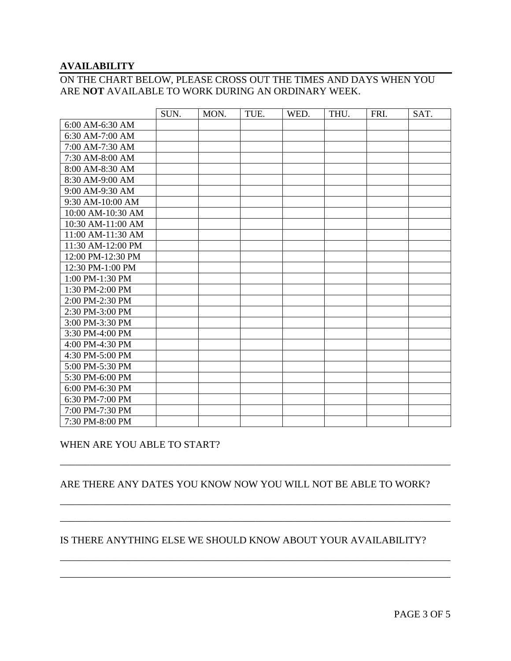#### **AVAILABILITY**

# ON THE CHART BELOW, PLEASE CROSS OUT THE TIMES AND DAYS WHEN YOU ARE **NOT** AVAILABLE TO WORK DURING AN ORDINARY WEEK.

|                   | SUN. | MON. | TUE. | WED. | THU. | FRI. | SAT. |
|-------------------|------|------|------|------|------|------|------|
| 6:00 AM-6:30 AM   |      |      |      |      |      |      |      |
| 6:30 AM-7:00 AM   |      |      |      |      |      |      |      |
| 7:00 AM-7:30 AM   |      |      |      |      |      |      |      |
| 7:30 AM-8:00 AM   |      |      |      |      |      |      |      |
| 8:00 AM-8:30 AM   |      |      |      |      |      |      |      |
| 8:30 AM-9:00 AM   |      |      |      |      |      |      |      |
| 9:00 AM-9:30 AM   |      |      |      |      |      |      |      |
| 9:30 AM-10:00 AM  |      |      |      |      |      |      |      |
| 10:00 AM-10:30 AM |      |      |      |      |      |      |      |
| 10:30 AM-11:00 AM |      |      |      |      |      |      |      |
| 11:00 AM-11:30 AM |      |      |      |      |      |      |      |
| 11:30 AM-12:00 PM |      |      |      |      |      |      |      |
| 12:00 PM-12:30 PM |      |      |      |      |      |      |      |
| 12:30 PM-1:00 PM  |      |      |      |      |      |      |      |
| 1:00 PM-1:30 PM   |      |      |      |      |      |      |      |
| 1:30 PM-2:00 PM   |      |      |      |      |      |      |      |
| 2:00 PM-2:30 PM   |      |      |      |      |      |      |      |
| 2:30 PM-3:00 PM   |      |      |      |      |      |      |      |
| 3:00 PM-3:30 PM   |      |      |      |      |      |      |      |
| 3:30 PM-4:00 PM   |      |      |      |      |      |      |      |
| 4:00 PM-4:30 PM   |      |      |      |      |      |      |      |
| 4:30 PM-5:00 PM   |      |      |      |      |      |      |      |
| 5:00 PM-5:30 PM   |      |      |      |      |      |      |      |
| 5:30 PM-6:00 PM   |      |      |      |      |      |      |      |
| 6:00 PM-6:30 PM   |      |      |      |      |      |      |      |
| 6:30 PM-7:00 PM   |      |      |      |      |      |      |      |
| 7:00 PM-7:30 PM   |      |      |      |      |      |      |      |
| 7:30 PM-8:00 PM   |      |      |      |      |      |      |      |

## WHEN ARE YOU ABLE TO START?

### ARE THERE ANY DATES YOU KNOW NOW YOU WILL NOT BE ABLE TO WORK?

\_\_\_\_\_\_\_\_\_\_\_\_\_\_\_\_\_\_\_\_\_\_\_\_\_\_\_\_\_\_\_\_\_\_\_\_\_\_\_\_\_\_\_\_\_\_\_\_\_\_\_\_\_\_\_\_\_\_\_\_\_\_\_\_\_\_\_\_\_\_\_\_\_\_\_\_\_\_

\_\_\_\_\_\_\_\_\_\_\_\_\_\_\_\_\_\_\_\_\_\_\_\_\_\_\_\_\_\_\_\_\_\_\_\_\_\_\_\_\_\_\_\_\_\_\_\_\_\_\_\_\_\_\_\_\_\_\_\_\_\_\_\_\_\_\_\_\_\_\_\_\_\_\_\_\_\_ \_\_\_\_\_\_\_\_\_\_\_\_\_\_\_\_\_\_\_\_\_\_\_\_\_\_\_\_\_\_\_\_\_\_\_\_\_\_\_\_\_\_\_\_\_\_\_\_\_\_\_\_\_\_\_\_\_\_\_\_\_\_\_\_\_\_\_\_\_\_\_\_\_\_\_\_\_\_

\_\_\_\_\_\_\_\_\_\_\_\_\_\_\_\_\_\_\_\_\_\_\_\_\_\_\_\_\_\_\_\_\_\_\_\_\_\_\_\_\_\_\_\_\_\_\_\_\_\_\_\_\_\_\_\_\_\_\_\_\_\_\_\_\_\_\_\_\_\_\_\_\_\_\_\_\_\_ \_\_\_\_\_\_\_\_\_\_\_\_\_\_\_\_\_\_\_\_\_\_\_\_\_\_\_\_\_\_\_\_\_\_\_\_\_\_\_\_\_\_\_\_\_\_\_\_\_\_\_\_\_\_\_\_\_\_\_\_\_\_\_\_\_\_\_\_\_\_\_\_\_\_\_\_\_\_

### IS THERE ANYTHING ELSE WE SHOULD KNOW ABOUT YOUR AVAILABILITY?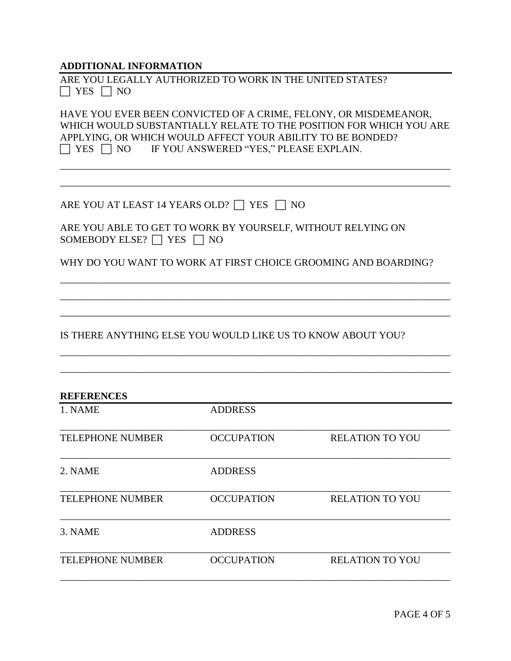**ADDITIONAL INFORMATION**

|                      | ARE YOU LEGALLY AUTHORIZED TO WORK IN THE UNITED STATES? |  |  |
|----------------------|----------------------------------------------------------|--|--|
| $\Box$ YES $\Box$ NO |                                                          |  |  |

HAVE YOU EVER BEEN CONVICTED OF A CRIME, FELONY, OR MISDEMEANOR, WHICH WOULD SUBSTANTIALLY RELATE TO THE POSITION FOR WHICH YOU ARE APPLYING, OR WHICH WOULD AFFECT YOUR ABILITY TO BE BONDED?  $\Box$  YES  $\Box$  NO IF YOU ANSWERED "YES," PLEASE EXPLAIN.

\_\_\_\_\_\_\_\_\_\_\_\_\_\_\_\_\_\_\_\_\_\_\_\_\_\_\_\_\_\_\_\_\_\_\_\_\_\_\_\_\_\_\_\_\_\_\_\_\_\_\_\_\_\_\_\_\_\_\_\_\_\_\_\_\_\_\_\_\_\_\_\_\_\_\_\_\_\_ \_\_\_\_\_\_\_\_\_\_\_\_\_\_\_\_\_\_\_\_\_\_\_\_\_\_\_\_\_\_\_\_\_\_\_\_\_\_\_\_\_\_\_\_\_\_\_\_\_\_\_\_\_\_\_\_\_\_\_\_\_\_\_\_\_\_\_\_\_\_\_\_\_\_\_\_\_\_

| ARE YOU AT LEAST 14 YEARS OLD? $\Box$ YES $\Box$ NO |  |  |
|-----------------------------------------------------|--|--|
|-----------------------------------------------------|--|--|

| ARE YOU ABLE TO GET TO WORK BY YOURSELF, WITHOUT RELYING ON |  |
|-------------------------------------------------------------|--|
| SOMEBODY ELSE? $\Box$ YES $\Box$ NO                         |  |

WHY DO YOU WANT TO WORK AT FIRST CHOICE GROOMING AND BOARDING?

\_\_\_\_\_\_\_\_\_\_\_\_\_\_\_\_\_\_\_\_\_\_\_\_\_\_\_\_\_\_\_\_\_\_\_\_\_\_\_\_\_\_\_\_\_\_\_\_\_\_\_\_\_\_\_\_\_\_\_\_\_\_\_\_\_\_\_\_\_\_\_\_\_\_\_\_\_\_ \_\_\_\_\_\_\_\_\_\_\_\_\_\_\_\_\_\_\_\_\_\_\_\_\_\_\_\_\_\_\_\_\_\_\_\_\_\_\_\_\_\_\_\_\_\_\_\_\_\_\_\_\_\_\_\_\_\_\_\_\_\_\_\_\_\_\_\_\_\_\_\_\_\_\_\_\_\_ \_\_\_\_\_\_\_\_\_\_\_\_\_\_\_\_\_\_\_\_\_\_\_\_\_\_\_\_\_\_\_\_\_\_\_\_\_\_\_\_\_\_\_\_\_\_\_\_\_\_\_\_\_\_\_\_\_\_\_\_\_\_\_\_\_\_\_\_\_\_\_\_\_\_\_\_\_\_

\_\_\_\_\_\_\_\_\_\_\_\_\_\_\_\_\_\_\_\_\_\_\_\_\_\_\_\_\_\_\_\_\_\_\_\_\_\_\_\_\_\_\_\_\_\_\_\_\_\_\_\_\_\_\_\_\_\_\_\_\_\_\_\_\_\_\_\_\_\_\_\_\_\_\_\_\_\_ \_\_\_\_\_\_\_\_\_\_\_\_\_\_\_\_\_\_\_\_\_\_\_\_\_\_\_\_\_\_\_\_\_\_\_\_\_\_\_\_\_\_\_\_\_\_\_\_\_\_\_\_\_\_\_\_\_\_\_\_\_\_\_\_\_\_\_\_\_\_\_\_\_\_\_\_\_\_

IS THERE ANYTHING ELSE YOU WOULD LIKE US TO KNOW ABOUT YOU?

| <b>REFERENCES</b>       |                   |                        |
|-------------------------|-------------------|------------------------|
| 1. NAME                 | <b>ADDRESS</b>    |                        |
| <b>TELEPHONE NUMBER</b> | <b>OCCUPATION</b> | <b>RELATION TO YOU</b> |
| 2. NAME                 | <b>ADDRESS</b>    |                        |
| <b>TELEPHONE NUMBER</b> | <b>OCCUPATION</b> | <b>RELATION TO YOU</b> |
| 3. NAME                 | <b>ADDRESS</b>    |                        |
| <b>TELEPHONE NUMBER</b> | <b>OCCUPATION</b> | <b>RELATION TO YOU</b> |